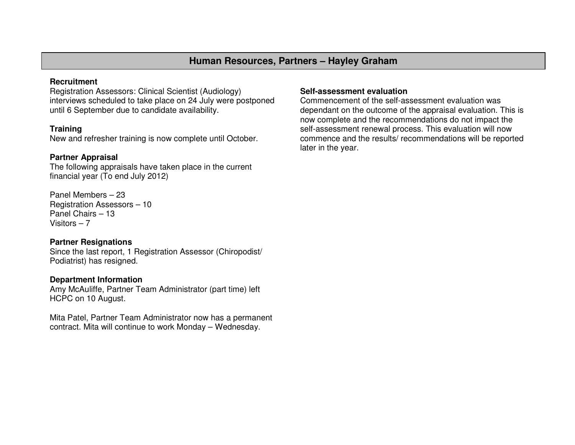# **Human Resources, Partners – Hayley Graham**

#### **Recruitment**

 Registration Assessors: Clinical Scientist (Audiology) interviews scheduled to take place on 24 July were postponed until 6 September due to candidate availability.

# **Training**

New and refresher training is now complete until October.

# **Partner Appraisal**

 The following appraisals have taken place in the current financial year (To end July 2012)

Panel Members – 23 Registration Assessors – 10 Panel Chairs – 13 Visitors – 7

### **Partner Resignations**

 Since the last report, 1 Registration Assessor (Chiropodist/ Podiatrist) has resigned.

### **Department Information**

 Amy McAuliffe, Partner Team Administrator (part time) left HCPC on 10 August.

Mita Patel, Partner Team Administrator now has a permanent contract. Mita will continue to work Monday – Wednesday.

### **Self-assessment evaluation**

 Commencement of the self-assessment evaluation was dependant on the outcome of the appraisal evaluation. This is now complete and the recommendations do not impact the self-assessment renewal process. This evaluation will now commence and the results/ recommendations will be reported later in the year.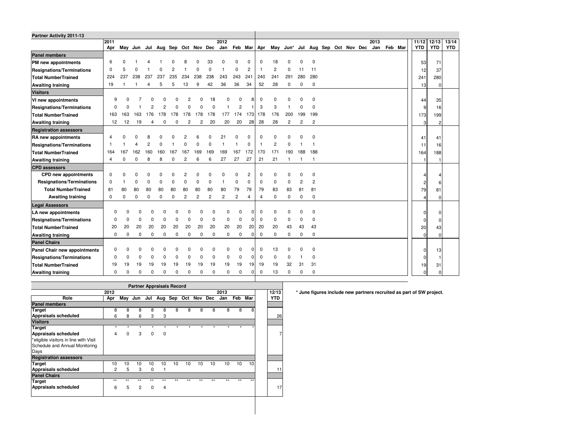| Partner Activity 2011-13         |          |             |                                     |          |          |             |                |                |                |                |                |                |                |                |                      |                |          |                         |  |      |         |  |            |            |            |
|----------------------------------|----------|-------------|-------------------------------------|----------|----------|-------------|----------------|----------------|----------------|----------------|----------------|----------------|----------------|----------------|----------------------|----------------|----------|-------------------------|--|------|---------|--|------------|------------|------------|
|                                  | 2011     |             |                                     |          |          |             |                |                |                | 2012           |                |                |                |                |                      |                |          |                         |  | 2013 |         |  | 11/12      | 12/13      | 13/14      |
|                                  | Apr      |             | May Jun Jul Aug Sep Oct Nov Dec Jan |          |          |             |                |                |                |                |                |                |                |                | Feb Mar Apr May Jun* |                |          | Jul Aug Sep Oct Nov Dec |  | Jan  | Feb Mar |  | <b>YTD</b> | <b>YTD</b> | <b>YTD</b> |
| <b>Panel members</b>             |          |             |                                     |          |          |             |                |                |                |                |                |                |                |                |                      |                |          |                         |  |      |         |  |            |            |            |
| PM new appointments              | 6        |             |                                     |          |          |             |                |                | 33             | O              | $\Omega$       | 0              | 0              | 18             | $\Omega$             | n              | 0        |                         |  |      |         |  | 53         | 71         |            |
| <b>Resignations/Terminations</b> | $\Omega$ | 5           | $\Omega$                            |          |          | 2           |                | U              | $\Omega$       |                | $\Omega$       | $\overline{2}$ | $\overline{1}$ | $\overline{c}$ | 0                    | 11             | 11       |                         |  |      |         |  | 12         | 37         |            |
| <b>Total NumberTrained</b>       | 224      | 237         | 238                                 | 237      | 237      | 235         | 234            | 238            | 238            | 243            | 243            | 241            | 240            | 241            | 291                  | 280            | 280      |                         |  |      |         |  | 241        | 280        |            |
| <b>Awaiting training</b>         | 19       |             |                                     | 4        | 5        | 5           | 13             | 9              | 42             | 36             | 36             | 34             | 52             | 28             | 0                    | $\Omega$       | 0        |                         |  |      |         |  | 13         | $\Omega$   |            |
| <b>Visitors</b>                  |          |             |                                     |          |          |             |                |                |                |                |                |                |                |                |                      |                |          |                         |  |      |         |  |            |            |            |
| VI new appointments              | 9        | O           |                                     |          |          |             |                |                | 18             | $\Omega$       | 0              |                | 0              | O              | $\Omega$             | O              | $\Omega$ |                         |  |      |         |  | 44         | 35         |            |
| <b>Resignations/Terminations</b> | O        | n           |                                     |          | 2        | n           |                | $\Omega$       | $\Omega$       | 1              | $\overline{c}$ |                | 3              | 3              | -1                   | $\Omega$       | 0        |                         |  |      |         |  | 9          | 16         |            |
| <b>Total NumberTrained</b>       | 163      | 163         | 163                                 | 176      | 178      | 178         | 178            | 178            | 178            | 177            | 174            | 173            | 178            | 176            | 200                  | 199            | 199      |                         |  |      |         |  | 173        | 199        |            |
| <b>Awaiting training</b>         | 12       | 12          | 19                                  |          | 0        | $\Omega$    | 2              | 2              | 20             | 20             | 20             | 28             | 28             | 28             | $\overline{2}$       | 2              | 2        |                         |  |      |         |  | 3          | 2          |            |
| <b>Registration assessors</b>    |          |             |                                     |          |          |             |                |                |                |                |                |                |                |                |                      |                |          |                         |  |      |         |  |            |            |            |
| RA new appointments              | Δ        |             | O                                   |          |          |             |                |                |                | 21             | $\Omega$       | 0              | $\mathbf 0$    | $\Omega$       | 0                    |                | 0        |                         |  |      |         |  | 41         | 41         |            |
| <b>Resignations/Terminations</b> |          |             | 4                                   | 2        |          |             | $\Omega$       | n              | $\Omega$       |                |                | $\Omega$       | $\overline{1}$ | $\overline{c}$ | $\Omega$             |                |          |                         |  |      |         |  | 11         | 16         |            |
| <b>Total NumberTrained</b>       | 164      | 167         | 162                                 | 160      | 160      | 167         | 167            | 169            | 169            | 169            | 167            | 172            | 170            | 171            | 190                  | 188            | 188      |                         |  |      |         |  | 164        | 188        |            |
| <b>Awaiting training</b>         | 4        | $\Omega$    | $\mathbf 0$                         | 8        | 8        | 0           | $\overline{c}$ | 6              | 6              | 27             | 27             | 27             | 21             | 21             |                      |                |          |                         |  |      |         |  |            |            |            |
| <b>CPD</b> assessors             |          |             |                                     |          |          |             |                |                |                |                |                |                |                |                |                      |                |          |                         |  |      |         |  |            |            |            |
| CPD new appointments             | $\Omega$ | n           | $\Omega$                            | O        |          | U           | $\overline{c}$ | O              | O              | n              | 0              | 2              | $\mathbf 0$    | $\Omega$       | 0                    |                | 0        |                         |  |      |         |  |            |            |            |
| <b>Resignations/Terminations</b> | 0        |             | $\mathbf 0$                         | $\Omega$ | $\Omega$ | 0           | $\Omega$       | $\Omega$       | $\Omega$       |                | 0              | $\mathbf 0$    | 0              | 0              | 0                    | $\overline{c}$ | 2        |                         |  |      |         |  |            |            |            |
| <b>Total NumberTrained</b>       | 81       | 80          | 80                                  | 80       | 80       | 80          | 80             | 80             | 80             | 80             | 79             | 79             | 79             | 83             | 83                   | 81             | 81       |                         |  |      |         |  | 79         | 81         |            |
| <b>Awaiting training</b>         | 0        | $\mathbf 0$ | $\mathbf 0$                         | $\Omega$ | $\Omega$ | 0           | $\overline{2}$ | $\overline{2}$ | $\overline{c}$ | $\overline{2}$ | $\overline{c}$ | 4              | $\overline{4}$ | 0              | $\pmb{0}$            | $\Omega$       | $\Omega$ |                         |  |      |         |  |            |            |            |
| <b>Legal Assessors</b>           |          |             |                                     |          |          |             |                |                |                |                |                |                |                |                |                      |                |          |                         |  |      |         |  |            |            |            |
| LA new appointments              | O        | O           | U                                   |          | n        | O           |                | ŋ              | O              | $\Omega$       | $\Omega$       | ŋ              | 0              | O              | $\Omega$             | O              | 0        |                         |  |      |         |  | $\Omega$   | U          |            |
| <b>Resignations/Terminations</b> | O        | O           | U                                   | n        | O        | $\Omega$    | O              | $\Omega$       | 0              | 0              | $\mathbf 0$    | $\Omega$       | 0              | 0              | 0                    | $\Omega$       | 0        |                         |  |      |         |  | n          |            |            |
| <b>Total NumberTrained</b>       | 20       | 20          | 20                                  | 20       | 20       | 20          | 20             | 20             | 20             | 20             | 20             | 20             | 20             | 20             | 43                   | 43             | 43       |                         |  |      |         |  | 20         | 43         |            |
| <b>Awaiting training</b>         | 0        | 0           | 0                                   | 0        | 0        | $\mathbf 0$ | 0              | 0              | 0              | 0              | $\mathbf 0$    | 0              | $\mathbf 0$    | 0              | $\mathbf 0$          | 0              | 0        |                         |  |      |         |  | $\Omega$   | U          |            |
| <b>Panel Chairs</b>              |          |             |                                     |          |          |             |                |                |                |                |                |                |                |                |                      |                |          |                         |  |      |         |  |            |            |            |
| Panel Chair new appointments     | O        | O           | C                                   |          | 0        | n           |                | ŋ              | 0              | $\Omega$       | $\Omega$       |                | 0              | 13             | 0                    | $\Omega$       | 0        |                         |  |      |         |  | 0          | 13         |            |
| <b>Resignations/Terminations</b> | $\Omega$ | 0           | 0                                   | $\Omega$ | $\Omega$ | $\Omega$    | ŋ              | 0              | 0              | 0              | $\mathbf 0$    | 0              | 0              | 0              | 0                    |                | 0        |                         |  |      |         |  | $\Omega$   |            |            |
| Total NumberTrained              | 19       | 19          | 19                                  | 19       | 19       | 19          | 19             | 19             | 19             | 19             | 19             | 19             | 19             | 19             | 32                   | 31             | 31       |                         |  |      |         |  | 19         | 31         |            |
| <b>Awaiting training</b>         | 0        | O           | 0                                   | $\Omega$ | 0        | $\Omega$    | 0              | $\Omega$       | 0              | 0              | $\mathbf 0$    | $\Omega$       | 0              | 13             | 0                    | $\Omega$       | 0        |                         |  |      |         |  |            |            |            |
|                                  |          |             |                                     |          |          |             |                |                |                |                |                |                |                |                |                      |                |          |                         |  |      |         |  |            |            |            |

| <b>Partner Appraisals Record</b>      |         |              |                |             |          |         |       |       |              |         |       |              |            |
|---------------------------------------|---------|--------------|----------------|-------------|----------|---------|-------|-------|--------------|---------|-------|--------------|------------|
|                                       | 2012    |              |                |             |          |         |       |       |              | 2013    |       |              | 12/13      |
| Role                                  | Apr     | May          | Jun            | Jul         |          | Aug Sep | Oct   |       | Nov Dec      | Jan     | Feb   | Mar          | <b>YTD</b> |
| <b>Panel members</b>                  |         |              |                |             |          |         |       |       |              |         |       |              |            |
| Target                                | 8       | 8            | 8              | 8           | 8        | 8       | 8     | 8     | 8            | 8       | 8     | 8            |            |
| Appraisals scheduled                  | 6       | 8            | 6              | 3           | 3        |         |       |       |              |         |       |              | 26         |
| <b>Visitors</b>                       |         |              |                |             |          |         |       |       |              |         |       |              |            |
| <b>Target</b>                         | $\star$ | $\star$      | $\star$        | $\star$     | $\star$  | $\star$ | ٠     | ٠     | $\star$      | $\star$ | ٠     |              |            |
| Appraisals scheduled                  | 4       | $\Omega$     | 3              | $\Omega$    | $\Omega$ |         |       |       |              |         |       |              | 71         |
| *eligible visitors in line with Visit |         |              |                |             |          |         |       |       |              |         |       |              |            |
| Schedule and Annual Monitoring        |         |              |                |             |          |         |       |       |              |         |       |              |            |
| Days                                  |         |              |                |             |          |         |       |       |              |         |       |              |            |
| <b>Registration assessors</b>         |         |              |                |             |          |         |       |       |              |         |       |              |            |
| <b>Target</b>                         | 10      | 10           | 10             | 10          | 10       | 10      | 10    | 10    | 10           | 10      | 10    | 10           |            |
| Appraisals scheduled                  | 2       | 5            | 3              | $\Omega$    | 1        |         |       |       |              |         |       |              | 11         |
| <b>Panel Chairs</b>                   |         |              |                |             |          |         |       |       |              |         |       |              |            |
| <b>Target</b>                         | $***$   | $\star\star$ | $\overline{1}$ | $***$       | $***$    | ÷÷      | $+ +$ | $***$ | $\star\star$ | $***$   | $***$ | $\star\star$ |            |
| <b>Appraisals scheduled</b>           | 6       | 5            | $\overline{2}$ | $\mathbf 0$ | 4        |         |       |       |              |         |       |              | 17         |
|                                       |         |              |                |             |          |         |       |       |              |         |       |              |            |
|                                       |         |              |                |             |          |         |       |       |              |         |       |              |            |

**12/13 \* June figures include new partners recruited as part of SW project.**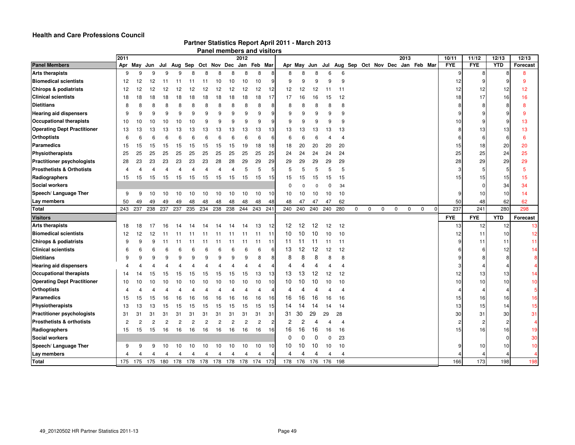#### **Health and Care Professions Council**

| Partner Statistics Report April 2011 - March 2013 |  |
|---------------------------------------------------|--|
|---------------------------------------------------|--|

|  | Panel members and visitors |  |  |
|--|----------------------------|--|--|
|--|----------------------------|--|--|

|                                      | 2011        |     |     |                |                |                                             |                  |                |                | 2012           |                |                |          |                |          |          |     |   |                                         |   |   | 2013        |             |                | 10/11      | 11/12      | 12/13      | 12/13          |
|--------------------------------------|-------------|-----|-----|----------------|----------------|---------------------------------------------|------------------|----------------|----------------|----------------|----------------|----------------|----------|----------------|----------|----------|-----|---|-----------------------------------------|---|---|-------------|-------------|----------------|------------|------------|------------|----------------|
| <b>Panel Members</b>                 | Apr         |     |     |                |                | May Jun Jul Aug Sep Oct Nov Dec Jan Feb Mar |                  |                |                |                |                |                | Apr May  |                |          |          |     |   | Jun Jul Aug Sep Oct Nov Dec Jan Feb Mar |   |   |             |             |                | <b>FYE</b> | <b>FYE</b> | <b>YTD</b> | Forecast       |
| <b>Arts therapists</b>               | 9           | q   |     | q              | a              | я                                           | я                | 8              | 8              |                | 8              | 8              | 8        | 8              | 8        | 6        | 6   |   |                                         |   |   |             |             |                |            | 8          |            | 8              |
| <b>Biomedical scientists</b>         | 12          | 12  | 12  | 11             | 11             | 11                                          | 11               | 10             | 10             | 10             | 10             | 9              | 9        | 9              | 9        | 9        | 9   |   |                                         |   |   |             |             |                | 12         |            |            | 9              |
| <b>Chirops &amp; podiatrists</b>     | 12          | 12  | 12  | 12             | 12             | 12                                          | 12               | 12             | 12             | 12             | 12             | 12             | 12       | 12             | 12       | 11       | 11  |   |                                         |   |   |             |             |                | 12         | 12         | 12         | 12             |
| <b>Clinical scientists</b>           | 18          | 18  | 18  | 18             | 18             | 18                                          | 18               | 18             | 18             | 18             | 18             | 17             | 17       | 16             | 16       | 15       | 12  |   |                                         |   |   |             |             |                | 18         | 17         | 16         | 16             |
| <b>Dietitians</b>                    | 8           | Я   | 8   | 8              | 8              | 8                                           | 8                | 8              | 8              | 8              | 8              | 8              | 8        | 8              | 8        | 8        | 8   |   |                                         |   |   |             |             |                |            | 8          | 8          | 8              |
| <b>Hearing aid dispensers</b>        | 9           | 9   | 9   | 9              | 9              | 9                                           | 9                | 9              | 9              | 9              | 9              | 9              | 9        | 9              | 9        | 9        | 9   |   |                                         |   |   |             |             |                |            |            |            | -9             |
| <b>Occupational therapists</b>       | 10          | 10  | 10  | 10             | 10             | 10                                          | 9                | 9              | 9              | 9              | 9              | 9              | 9        | 9              | 9        | 9        | 9   |   |                                         |   |   |             |             |                | 10         |            | 9          | 13             |
| <b>Operating Dept Practitioner</b>   | 13          | 13  | 13  | 13             | 13             | 13                                          | 13               | 13             | 13             | 13             | 13             | 13             | 13       | 13             | 13       | 13       | 13  |   |                                         |   |   |             |             |                |            | 13         | 13         | 13             |
| <b>Orthoptists</b>                   | 6           | F   | 6   | 6              | 6              | 6                                           | 6                | 6              | 6              | 6              | 6              | 6              | 6        | 6              | 6        |          | 4   |   |                                         |   |   |             |             |                |            | 6          | -6         | -6             |
| Paramedics                           | 15          | 15  | 15  | 15             | 15             | 15                                          | 15               | 15             | 15             | 19             | 18             | 18             | 18       | 20             | 20       | 20       | 20  |   |                                         |   |   |             |             |                | 15         | 18         | 20         | 20             |
| Physiotherapists                     | 25          | 25  | 25  | 25             | 25             | 25                                          | 25               | 25             | 25             | 25             | 25             | 25             | 24       | 24             | 24       | 24       | 24  |   |                                         |   |   |             |             |                | 25         | 25         | 24         | 25             |
| <b>Practitioner psychologists</b>    | 28          | 23  | 23  | 23             | 23             | 23                                          | 23               | 28             | 28             | 29             | 29             | 29             | 29       | 29             | 29       | 29       | 29  |   |                                         |   |   |             |             |                | 28         | 29         | 29         | 29             |
| <b>Prosthetists &amp; Orthotists</b> | 4           | 4   | 4   | 4              | 4              | 4                                           | 4                | 4              | 4              | 5              | 5              | 5              | 5        | 5              | 5        | 5        | 5   |   |                                         |   |   |             |             |                |            | 5          | 5          | -5             |
| Radiographers                        | 15          | 15  | 15  | 15             | 15             | 15                                          | 15               | 15             | 15             | 15             | 15             | 15             | 15       | 15             | 15       | 15       | 15  |   |                                         |   |   |             |             |                | 15         | 15         | 15         | 15             |
| <b>Social workers</b>                |             |     |     |                |                |                                             |                  |                |                |                |                |                | $\Omega$ |                | $\Omega$ | $\Omega$ | 34  |   |                                         |   |   |             |             |                |            | $\Omega$   | 34         | 34             |
| Speech/ Language Ther                | 9           | 9   | 10  | 10             | 10             | 10                                          | 10               | 10             | 10             | 10             | 10             | 10             | 10       | 10             | 10       | 10       | 10  |   |                                         |   |   |             |             |                |            | 10         | 10         | 14             |
| Lay members                          | 50          | 49  | 49  | 49             | 49             | 48                                          | 48               | 48             | 48             | 48             | 48             | 48             | 48       | 47             | 47       | 47       | 62  |   |                                         |   |   |             |             |                | 50         | 48         | 62         | 62             |
| Total                                | 243         | 237 |     | 238 237        | 237            | 235 234                                     |                  | 238 238        |                |                | 244 243        | 241            |          | 240 240        | 240      | 240      | 280 | 0 | $\mathbf 0$                             | 0 | 0 | $\mathbf 0$ | $\mathbf 0$ | $\overline{0}$ | 237        | 241        | 280        | 298            |
| <b>Visitors</b>                      |             |     |     |                |                |                                             |                  |                |                |                |                |                |          |                |          |          |     |   |                                         |   |   |             |             |                | <b>FYE</b> | <b>FYE</b> | <b>YTD</b> | Forecast       |
| <b>Arts therapists</b>               | 18          | 18  | 17  | 16             |                |                                             |                  |                | 14             | 14             | 13             | 12             | 12       | 12             | 12       | 12       | 12  |   |                                         |   |   |             |             |                | 13         | 12         | 12         | 13             |
| <b>Biomedical scientists</b>         | 12          | 12  | 12  |                |                |                                             |                  | 11             |                | 11             | 11             | 11             | 10       | 10             | 10       | 10       | 10  |   |                                         |   |   |             |             |                | 12         | 11         | 10         | 12             |
| <b>Chirops &amp; podiatrists</b>     | 9           | 9   | 9   | 11             | 11             | 11                                          | 11               | 11             | 11             | 11             | 11             | 11             | 11       | 11             | 11       | 11       | 11  |   |                                         |   |   |             |             |                |            | 11         | 11         | 11             |
| <b>Clinical scientists</b>           | 6           | 6   | 6   | 6              | 6              | 6                                           | 6                | 6              | 6              |                | 6              | 6              | 13       | 12             | 12       | 12       | 12  |   |                                         |   |   |             |             |                |            | 6          | 12         | 14             |
| <b>Dietitians</b>                    | 9           | 9   | 9   | g              | 9              | 9                                           | 9                | 9              | 9              | 9              | 8              | 8              | 8        | 8              | 8        | 8        | 8   |   |                                         |   |   |             |             |                |            |            | 8          | 8              |
| <b>Hearing aid dispensers</b>        | Δ           |     |     |                |                | Δ                                           | 4                | Δ              |                |                | 4              | Δ              | 4        | 4              | 4        | Δ        | 4   |   |                                         |   |   |             |             |                |            |            | 4          | $\overline{4}$ |
| <b>Occupational therapists</b>       | 14          | 14  | 15  | 15             | 15             | 15                                          | 15 <sub>15</sub> | 15             | 15             | 15             | 13             | 13             | 13       | 13             | 12       | 12       | 12  |   |                                         |   |   |             |             |                | 12         | 13         | 13         | 14             |
| <b>Operating Dept Practitioner</b>   | 10          | 10  | 10  | 10             | 10             | 10                                          | 10               | 10             | 10             | 10             | 10             | 10             | 10       | 10             | 10       | 10       | 10  |   |                                         |   |   |             |             |                | 10         | 10         | 10         | 10             |
| <b>Orthoptists</b>                   | $\mathbf 4$ |     |     |                |                |                                             |                  |                |                |                | 4              | Δ              | 4        |                | 4        |          | 4   |   |                                         |   |   |             |             |                |            | 4          | 4          | $\overline{5}$ |
| <b>Paramedics</b>                    | 15          | 15  | 15  | 16             | 16             | 16                                          | 16               | 16             | 16             | 16             | 16             | 16             | 16       | 16             | 16       | 16       | 16  |   |                                         |   |   |             |             |                | 15         | 16         | 16         | 16             |
| Physiotherapists                     | 13          | 13  | 13  | 15             | 15             | 15                                          | 15               | 15             | 15             | 15             | 15             | 15             | 14       | 14             | 14       | 14       | 14  |   |                                         |   |   |             |             |                | 13         | 15         | 14         | 15             |
| <b>Practitioner psychologists</b>    | 31          | 31  | 31  | 31             | 31             | 31                                          | 31               | 31             | 31             | 31             | 31             | 31             | 31       | 30             | 29       | 29       | 28  |   |                                         |   |   |             |             |                | 30         | 31         | 30         | 31             |
| <b>Prosthetists &amp; orthotists</b> | 2           | 2   | 2   | $\overline{c}$ | $\overline{c}$ | $\overline{2}$                              | $\overline{c}$   | $\overline{c}$ | $\overline{2}$ | $\overline{2}$ | $\overline{c}$ | $\overline{c}$ | 2        | $\overline{c}$ | 4        |          | 4   |   |                                         |   |   |             |             |                |            | 2          | 2          | $\overline{4}$ |
| Radiographers                        | 15          | 15  | 15  | 16             | 16             | 16                                          | 16               | 16             | 16             | 16             | 16             | 16             | 16       | 16             | 16       | 16       | 16  |   |                                         |   |   |             |             |                | 15         | 16         | 16         | 19             |
| <b>Social workers</b>                |             |     |     |                |                |                                             |                  |                |                |                |                |                | $\Omega$ | $\Omega$       | $\Omega$ | $\Omega$ | 23  |   |                                         |   |   |             |             |                |            |            | $\Omega$   | 30             |
| Speech/ Language Ther                | 9           | 9   | 9   | 10             | 10             | 10                                          | 10               | 10             | 10             | 10             | 10             | 10             | 10       | 10             | 10       | 10       | 10  |   |                                         |   |   |             |             |                |            | 10         | 10         | 10             |
| Lay members                          |             |     | 4   | 4              | 4              | 4                                           | 4                | 4              | 4              | Δ              |                |                | 4        | 4              | 4        | Δ        | Δ   |   |                                         |   |   |             |             |                |            |            |            |                |
| Total                                | 175         | 175 | 175 | 180            | 178            | 178                                         | 178              | 178            | 178            | 178            | 174            | 173            | 178      | 176            | 176      | 176      | 198 |   |                                         |   |   |             |             |                | 166        | 173        | 198        | 198            |